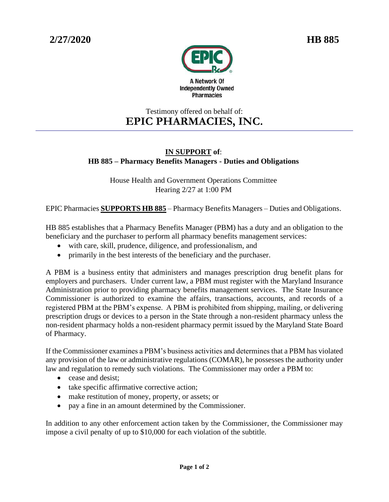

## Testimony offered on behalf of: **EPIC PHARMACIES, INC.**

## **IN SUPPORT of**: **HB 885 – Pharmacy Benefits Managers - Duties and Obligations**

House Health and Government Operations Committee Hearing 2/27 at 1:00 PM

EPIC Pharmacies **SUPPORTS HB 885** – Pharmacy Benefits Managers – Duties and Obligations.

HB 885 establishes that a Pharmacy Benefits Manager (PBM) has a duty and an obligation to the beneficiary and the purchaser to perform all pharmacy benefits management services:

- with care, skill, prudence, diligence, and professionalism, and
- primarily in the best interests of the beneficiary and the purchaser.

A PBM is a business entity that administers and manages prescription drug benefit plans for employers and purchasers. Under current law, a PBM must register with the Maryland Insurance Administration prior to providing pharmacy benefits management services. The State Insurance Commissioner is authorized to examine the affairs, transactions, accounts, and records of a registered PBM at the PBM's expense. A PBM is prohibited from shipping, mailing, or delivering prescription drugs or devices to a person in the State through a non-resident pharmacy unless the non-resident pharmacy holds a non-resident pharmacy permit issued by the Maryland State Board of Pharmacy.

If the Commissioner examines a PBM's business activities and determines that a PBM has violated any provision of the law or administrative regulations (COMAR), he possesses the authority under law and regulation to remedy such violations. The Commissioner may order a PBM to:

- cease and desist:
- take specific affirmative corrective action;
- make restitution of money, property, or assets; or
- pay a fine in an amount determined by the Commissioner.

In addition to any other enforcement action taken by the Commissioner, the Commissioner may impose a civil penalty of up to \$10,000 for each violation of the subtitle.